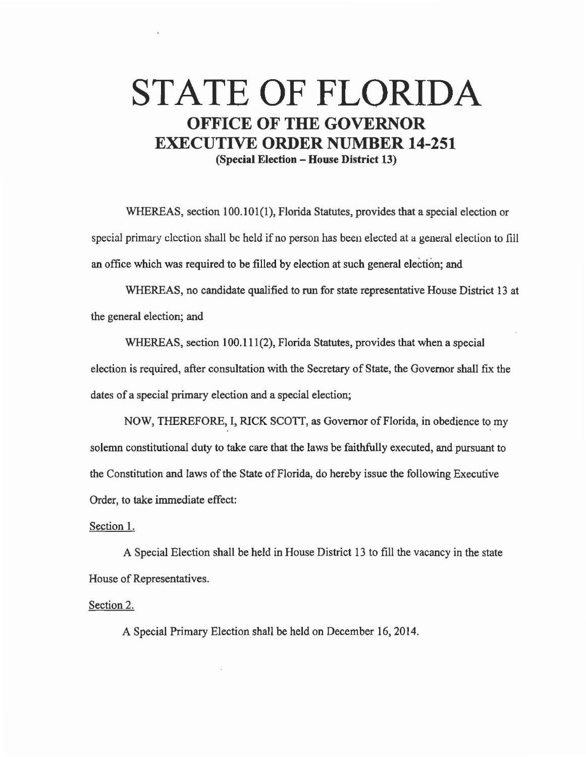## **STATE OF FLORIDA OFFICE OF THE GOVERNOR EXECUTIVE ORDER NUMBER 14-251 (Special Election - House District 13)**

WHEREAS, section 100.101(1), Florida Statutes, provides that a special election or special primary election shall be held if no person has been elected at a general election to fill an office which was required to be filled by election at such general election; and

WHEREAS, no candidate qualified to run for state representative House District 13 at the general election; and

WHEREAS, section 100.111(2), Florida Statutes, provides that when a special election is required, after consultation with the Secretary of State, the Governor shall fix the dates of a special primary election and a special election;

NOW, THEREFORE, I, RICK SCOTT, as Governor of Florida, in obedience to my solemn constitutional duty to take care that the laws be faithfully executed, and pursuant to the Constitution and laws of the State of Florida, do hereby issue the following Executive Order, to take immediate effect:

## Section 1.

A Special Election shall be held in House District 13 to fill the vacancy in the state House of Representatives.

Section 2.

A Special Primary Election shall be held on December 16, 2014.